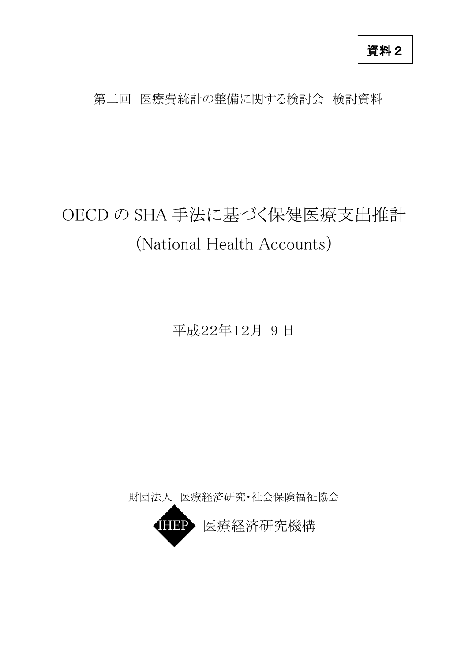資料2

## 第二回 医療費統計の整備に関する検討会 検討資料

## OECD の SHA 手法に基づく保健医療支出推計 (National Health Accounts)

平成22年12月 9 日

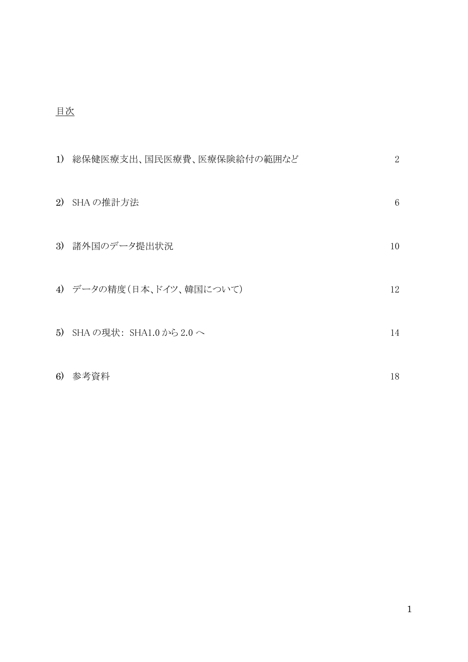## 目次

| 1) | 総保健医療支出、国民医療費、医療保険給付の範囲など  | $\overline{2}$ |
|----|----------------------------|----------------|
| 2) | SHA の推計方法                  | 6              |
|    | 3) 諸外国のデータ提出状況             | 10             |
|    | 4) データの精度(日本、ドイツ、韓国について)   | 12             |
|    | 5) SHA の現状: SHA1.0 から2.0 へ | 14             |
| 6) | 参考資料                       | 18             |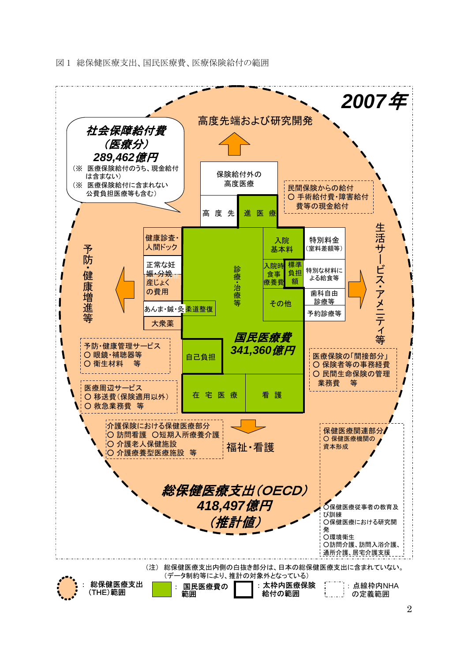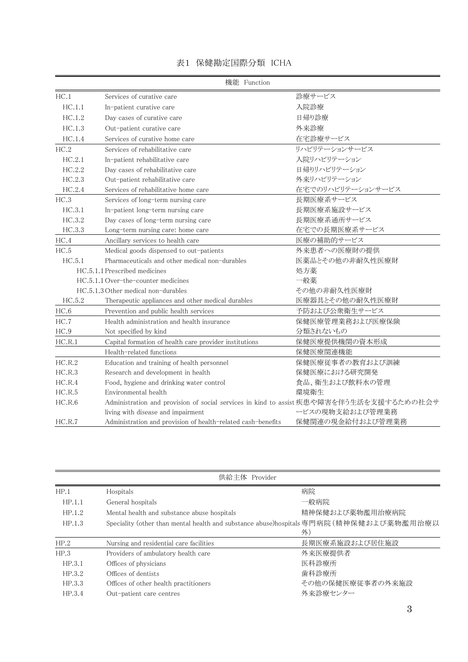|        | 機能 Function                                                                            |                   |
|--------|----------------------------------------------------------------------------------------|-------------------|
| HC.1   | Services of curative care                                                              | 診療サービス            |
| HC.1.1 | In-patient curative care                                                               | 入院診療              |
| HC.1.2 | Day cases of curative care                                                             | 日帰り診療             |
| HC.1.3 | Out-patient curative care                                                              | 外来診療              |
| HC.1.4 | Services of curative home care                                                         | 在宅診療サービス          |
| HC.2   | Services of rehabilitative care                                                        | リハビリテーションサービス     |
| HC.2.1 | In-patient rehabilitative care                                                         | 入院リハビリテーション       |
| HC.2.2 | Day cases of rehabilitative care                                                       | 日帰りリハビリテーション      |
| HC.2.3 | Out-patient rehabilitative care                                                        | 外来リハビリテーション       |
| HC.2.4 | Services of rehabilitative home care                                                   | 在宅でのリハビリテーションサービス |
| HC.3   | Services of long-term nursing care                                                     | 長期医療系サービス         |
| HC.3.1 | In-patient long-term nursing care                                                      | 長期医療系施設サービス       |
| HC.3.2 | Day cases of long-term nursing care                                                    | 長期医療系通所サービス       |
| HC.3.3 | Long-term nursing care: home care                                                      | 在宅での長期医療系サービス     |
| HC.4   | Ancillary services to health care                                                      | 医療の補助的サービス        |
| HC.5   | Medical goods dispensed to out-patients                                                | 外来患者への医療財の提供      |
| HC.5.1 | Pharmaceuticals and other medical non-durables                                         | 医薬品とその他の非耐久性医療財   |
|        | HC.5.1.1 Prescribed medicines                                                          | 処方薬               |
|        | HC.5.1.1 Over-the-counter medicines                                                    | 一般薬               |
|        | HC.5.1.3 Other medical non-durables                                                    | その他の非耐久性医療財       |
| HC.5.2 | Therapeutic appliances and other medical durables                                      | 医療器具とその他の耐久性医療財   |
| HC.6   | Prevention and public health services                                                  | 予防および公衆衛生サービス     |
| HC.7   | Health administration and health insurance                                             | 保健医療管理業務および医療保険   |
| HC.9   | Not specified by kind                                                                  | 分類されないもの          |
| HC.R.1 | Capital formation of health care provider institutions                                 | 保健医療提供機関の資本形成     |
|        | Health-related functions                                                               | 保健医療関連機能          |
| HC.R.2 | Education and training of health personnel                                             | 保健医療従事者の教育および訓練   |
| HC.R.3 | Research and development in health                                                     | 保健医療における研究開発      |
| HC.R.4 | Food, hygiene and drinking water control                                               | 食品、衛生および飲料水の管理    |
| HC.R.5 | Environmental health                                                                   | 環境衛生              |
| HC.R.6 | Administration and provision of social services in kind to assist疾患や障害を伴う生活を支援するための社会サ |                   |
|        | living with disease and impairment                                                     | ービスの現物支給および管理業務   |
| HC.R.7 | Administration and provision of health-related cash-benefits                           | 保健関連の現金給付および管理業務  |

|  |  | 表1 保健勘定国際分類 ICHA |  |
|--|--|------------------|--|
|--|--|------------------|--|

| 供給主体 Provider |                                             |                                                                                         |
|---------------|---------------------------------------------|-----------------------------------------------------------------------------------------|
| HP.1          | Hospitals                                   | 病院                                                                                      |
| HP.1.1        | General hospitals                           | 一般病院                                                                                    |
| HP.1.2        | Mental health and substance abuse hospitals | 精神保健および薬物濫用治療病院                                                                         |
| HP.1.3        |                                             | Speciality (other than mental health and substance abuse)hospitals 専門病院 (精神保健および薬物濫用治療以 |
|               |                                             | 外)                                                                                      |
| HP.2          | Nursing and residential care facilities     | 長期医療系施設および居住施設                                                                          |
| HP.3          | Providers of ambulatory health care         | 外来医療提供者                                                                                 |
| HP.3.1        | Offices of physicians                       | 医科診療所                                                                                   |
| HP.3.2        | Offices of dentists                         | 歯科診療所                                                                                   |
| HP.3.3        | Offices of other health practitioners       | その他の保健医療従事者の外来施設                                                                        |
| HP.3.4        | Out-patient care centres                    | 外来診療センター                                                                                |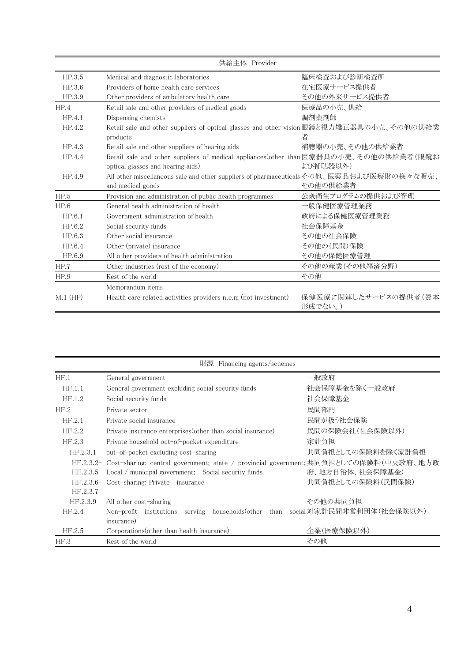|            | 供給主体 Provider                                                                           |                                 |
|------------|-----------------------------------------------------------------------------------------|---------------------------------|
| HP.3.5     | Medical and diagnostic laboratories                                                     | 臨床検査および診断検査所                    |
| HP.3.6     | Providers of home health care services                                                  | 在宅医療サービス提供者                     |
| HP.3.9     | Other providers of ambulatory health care                                               | その他の外来サービス提供者                   |
| HP.4       | Retail sale and other providers of medical goods                                        | 医療品の小売、供給                       |
| HP.4.1     | Dispensing chemists                                                                     | 調剤薬剤師                           |
| HP.4.2     | Retail sale and other suppliers of optical glasses and other vision眼鏡と視力矯正器具の小売、その他の供給業 |                                 |
|            | products                                                                                | 者                               |
| HP.4.3     | Retail sale and other suppliers of hearing aids                                         | 補聴器の小売、その他の供給業者                 |
| HP.4.4     | Retail sale and other suppliers of medical appliances(other than医療器具の小売、その他の供給業者(眼鏡お    |                                 |
|            | optical glasses and hearing aids)                                                       | よび補聴器以外)                        |
| HP.4.9     | All other miscellaneous sale and other suppliers of pharmaceuticalsその他、医薬品および医療財の様々な販売、 |                                 |
|            | and medical goods                                                                       | その他の供給業者                        |
| HP.5       | Provision and administration of public health programmes                                | 公衆衛生プログラムの提供および管理               |
| HP.6       | General health administration of health                                                 | 一般保健医療管理業務                      |
| HP.6.1     | Government administration of health                                                     | 政府による保健医療管理業務                   |
| HP.6.2     | Social security funds                                                                   | 社会保障基金                          |
| HP.6.3     | Other social insurance                                                                  | その他の社会保険                        |
| HP.6.4     | Other (private) insurance                                                               | その他の(民間)保険                      |
| HP.6.9     | All other providers of health administration                                            | その他の保健医療管理                      |
| HP.7       | Other industries (rest of the economy)                                                  | その他の産業(その他経済分野)                 |
| HP.9       | Rest of the world                                                                       | その他                             |
|            | Memorandum items                                                                        |                                 |
| $M.1$ (HP) | Health care related activities providers n.e.m (not investment)                         | 保健医療に関連したサービスの提供者(資本<br>形成でない。) |

|                                                              | 財源 Financing agents/schemes                                                                    |                    |
|--------------------------------------------------------------|------------------------------------------------------------------------------------------------|--------------------|
| HF.1                                                         | General government                                                                             | 一般政府               |
| HF.1.1<br>General government excluding social security funds |                                                                                                | 社会保障基金を除く一般政府      |
| HF.1.2<br>Social security funds                              |                                                                                                | 社会保障基金             |
| HF.2                                                         | Private sector                                                                                 | 民間部門               |
| HF.2.1                                                       | Private social insurance                                                                       | 民間が扱う社会保険          |
| HF.2.2                                                       | Private insurance enterprises (other than social insurance)                                    | 民間の保険会社(社会保険以外)    |
| HF.2.3                                                       | Private household out-of-pocket expenditure                                                    | 家計負担               |
| HF.2.3.1                                                     | out-of-pocket excluding cost-sharing                                                           | 共同負担としての保険料を除く家計負担 |
|                                                              | HF.2.3.2- Cost-sharing: central government; state / provincial government;共同負担としての保険料(中央政府、地方政 |                    |
| HF.2.3.5                                                     | Local / municipal government; Social security funds                                            | 府、地方自治体、社会保障基金)    |
|                                                              | HF.2.3.6- Cost-sharing: Private insurance                                                      | 共同負担としての保険料(民間保険)  |
| HF.2.3.7                                                     |                                                                                                |                    |
| HF.2.3.9                                                     | All other cost-sharing                                                                         | その他の共同負担           |
| HF.2.4                                                       | Non-profit institutions serving households(other than social対家計民間非営利団体(社会保険以外)                 |                    |
|                                                              | insurance)                                                                                     |                    |
| HF.2.5                                                       | Corporations (other than health insurance)                                                     | 企業(医療保険以外)         |
| HF.3                                                         | Rest of the world                                                                              | その他                |